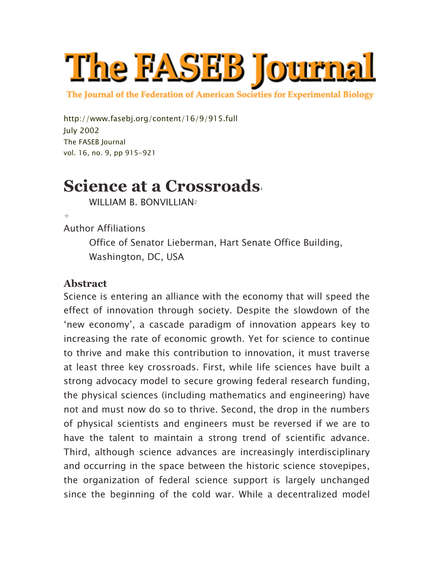

The Journal of the Federation of American Societies for Experimental Biology

http://www.fasebj.org/content/16/9/915.full July 2002 The FASEB Journal vol. 16, no. 9, pp 915-921

# **Science at a Crossroads**

WILLIAM B. BONVILLIAN2

 $+$ 

Author Affiliations

Office of Senator Lieberman, Hart Senate Office Building, Washington, DC, USA

#### **Abstract**

Science is entering an alliance with the economy that will speed the effect of innovation through society. Despite the slowdown of the 'new economy', a cascade paradigm of innovation appears key to increasing the rate of economic growth. Yet for science to continue to thrive and make this contribution to innovation, it must traverse at least three key crossroads. First, while life sciences have built a strong advocacy model to secure growing federal research funding, the physical sciences (including mathematics and engineering) have not and must now do so to thrive. Second, the drop in the numbers of physical scientists and engineers must be reversed if we are to have the talent to maintain a strong trend of scientific advance. Third, although science advances are increasingly interdisciplinary and occurring in the space between the historic science stovepipes, the organization of federal science support is largely unchanged since the beginning of the cold war. While a decentralized model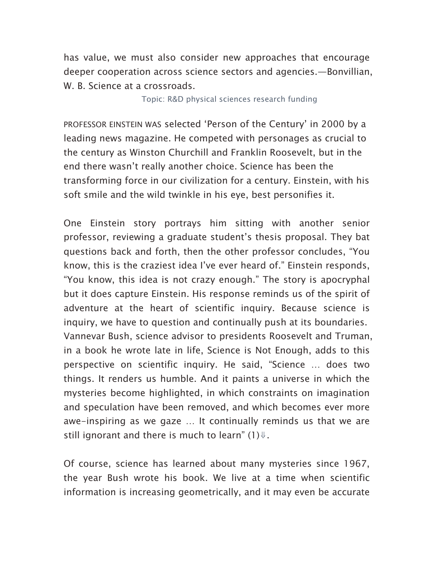has value, we must also consider new approaches that encourage deeper cooperation across science sectors and agencies.—Bonvillian, W. B. Science at a crossroads.

Topic: R&D physical sciences research funding

PROFESSOR EINSTEIN WAS selected 'Person of the Century' in 2000 by a leading news magazine. He competed with personages as crucial to the century as Winston Churchill and Franklin Roosevelt, but in the end there wasn't really another choice. Science has been the transforming force in our civilization for a century. Einstein, with his soft smile and the wild twinkle in his eye, best personifies it.

One Einstein story portrays him sitting with another senior professor, reviewing a graduate student's thesis proposal. They bat questions back and forth, then the other professor concludes, "You know, this is the craziest idea I've ever heard of." Einstein responds, "You know, this idea is not crazy enough." The story is apocryphal but it does capture Einstein. His response reminds us of the spirit of adventure at the heart of scientific inquiry. Because science is inquiry, we have to question and continually push at its boundaries. Vannevar Bush, science advisor to presidents Roosevelt and Truman, in a book he wrote late in life, Science is Not Enough, adds to this perspective on scientific inquiry. He said, "Science … does two things. It renders us humble. And it paints a universe in which the mysteries become highlighted, in which constraints on imagination and speculation have been removed, and which becomes ever more awe-inspiring as we gaze … It continually reminds us that we are still ignorant and there is much to learn" (1) $\Downarrow$ .

Of course, science has learned about many mysteries since 1967, the year Bush wrote his book. We live at a time when scientific information is increasing geometrically, and it may even be accurate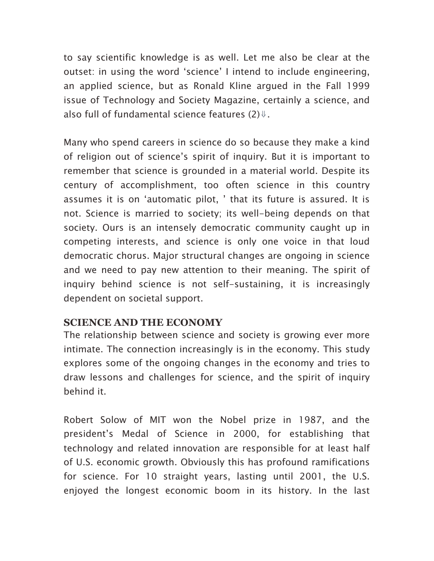to say scientific knowledge is as well. Let me also be clear at the outset: in using the word 'science' I intend to include engineering, an applied science, but as Ronald Kline argued in the Fall 1999 issue of Technology and Society Magazine, certainly a science, and also full of fundamental science features  $(2)\ell$ .

Many who spend careers in science do so because they make a kind of religion out of science's spirit of inquiry. But it is important to remember that science is grounded in a material world. Despite its century of accomplishment, too often science in this country assumes it is on 'automatic pilot, ' that its future is assured. It is not. Science is married to society; its well-being depends on that society. Ours is an intensely democratic community caught up in competing interests, and science is only one voice in that loud democratic chorus. Major structural changes are ongoing in science and we need to pay new attention to their meaning. The spirit of inquiry behind science is not self-sustaining, it is increasingly dependent on societal support.

# **SCIENCE AND THE ECONOMY**

The relationship between science and society is growing ever more intimate. The connection increasingly is in the economy. This study explores some of the ongoing changes in the economy and tries to draw lessons and challenges for science, and the spirit of inquiry behind it.

Robert Solow of MIT won the Nobel prize in 1987, and the president's Medal of Science in 2000, for establishing that technology and related innovation are responsible for at least half of U.S. economic growth. Obviously this has profound ramifications for science. For 10 straight years, lasting until 2001, the U.S. enjoyed the longest economic boom in its history. In the last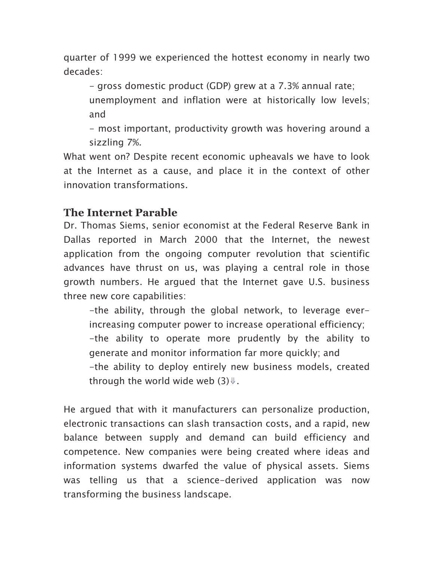quarter of 1999 we experienced the hottest economy in nearly two decades:

- gross domestic product (GDP) grew at a 7.3% annual rate;

unemployment and inflation were at historically low levels; and

- most important, productivity growth was hovering around a sizzling 7%.

What went on? Despite recent economic upheavals we have to look at the Internet as a cause, and place it in the context of other innovation transformations.

# **The Internet Parable**

Dr. Thomas Siems, senior economist at the Federal Reserve Bank in Dallas reported in March 2000 that the Internet, the newest application from the ongoing computer revolution that scientific advances have thrust on us, was playing a central role in those growth numbers. He argued that the Internet gave U.S. business three new core capabilities:

-the ability, through the global network, to leverage everincreasing computer power to increase operational efficiency; -the ability to operate more prudently by the ability to generate and monitor information far more quickly; and -the ability to deploy entirely new business models, created through the world wide web  $(3)\ell$ .

He argued that with it manufacturers can personalize production, electronic transactions can slash transaction costs, and a rapid, new balance between supply and demand can build efficiency and competence. New companies were being created where ideas and information systems dwarfed the value of physical assets. Siems was telling us that a science-derived application was now transforming the business landscape.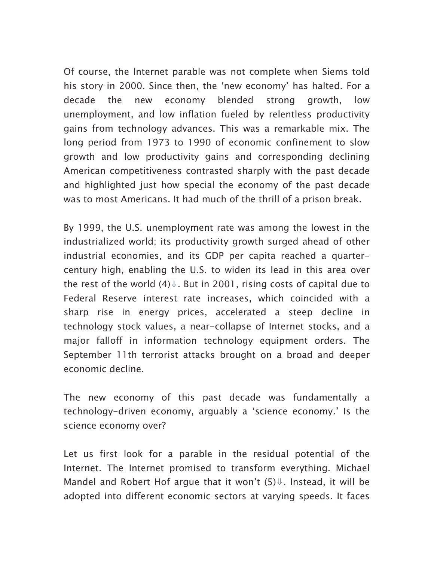Of course, the Internet parable was not complete when Siems told his story in 2000. Since then, the 'new economy' has halted. For a decade the new economy blended strong growth, low unemployment, and low inflation fueled by relentless productivity gains from technology advances. This was a remarkable mix. The long period from 1973 to 1990 of economic confinement to slow growth and low productivity gains and corresponding declining American competitiveness contrasted sharply with the past decade and highlighted just how special the economy of the past decade was to most Americans. It had much of the thrill of a prison break.

By 1999, the U.S. unemployment rate was among the lowest in the industrialized world; its productivity growth surged ahead of other industrial economies, and its GDP per capita reached a quartercentury high, enabling the U.S. to widen its lead in this area over the rest of the world  $(4)$  $\Downarrow$ . But in 2001, rising costs of capital due to Federal Reserve interest rate increases, which coincided with a sharp rise in energy prices, accelerated a steep decline in technology stock values, a near-collapse of Internet stocks, and a major falloff in information technology equipment orders. The September 11th terrorist attacks brought on a broad and deeper economic decline.

The new economy of this past decade was fundamentally a technology-driven economy, arguably a 'science economy.' Is the science economy over?

Let us first look for a parable in the residual potential of the Internet. The Internet promised to transform everything. Michael Mandel and Robert Hof arque that it won't  $(5)$  $\Downarrow$ . Instead, it will be adopted into different economic sectors at varying speeds. It faces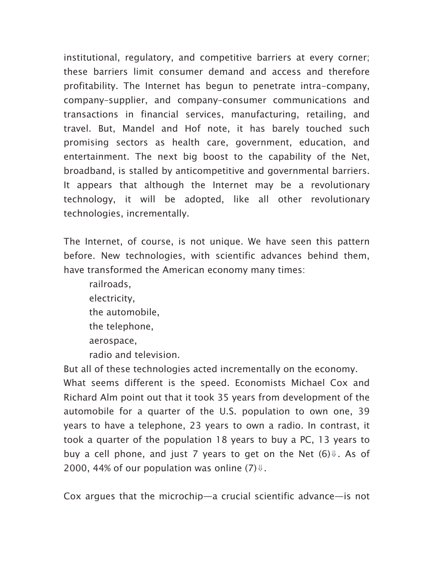institutional, regulatory, and competitive barriers at every corner; these barriers limit consumer demand and access and therefore profitability. The Internet has begun to penetrate intra-company, company–supplier, and company–consumer communications and transactions in financial services, manufacturing, retailing, and travel. But, Mandel and Hof note, it has barely touched such promising sectors as health care, government, education, and entertainment. The next big boost to the capability of the Net, broadband, is stalled by anticompetitive and governmental barriers. It appears that although the Internet may be a revolutionary technology, it will be adopted, like all other revolutionary technologies, incrementally.

The Internet, of course, is not unique. We have seen this pattern before. New technologies, with scientific advances behind them, have transformed the American economy many times:

railroads, electricity, the automobile, the telephone, aerospace, radio and television.

But all of these technologies acted incrementally on the economy. What seems different is the speed. Economists Michael Cox and Richard Alm point out that it took 35 years from development of the automobile for a quarter of the U.S. population to own one, 39 years to have a telephone, 23 years to own a radio. In contrast, it took a quarter of the population 18 years to buy a PC, 13 years to buy a cell phone, and just 7 years to get on the Net  $(6)$   $\Downarrow$ . As of 2000, 44% of our population was online (7) $\Downarrow$ .

Cox argues that the microchip—a crucial scientific advance—is not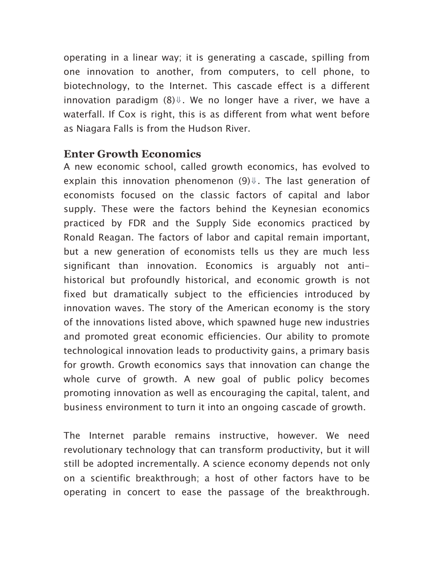operating in a linear way; it is generating a cascade, spilling from one innovation to another, from computers, to cell phone, to biotechnology, to the Internet. This cascade effect is a different innovation paradigm  $(8)$ <sup> $\Downarrow$ </sup>. We no longer have a river, we have a waterfall. If Cox is right, this is as different from what went before as Niagara Falls is from the Hudson River.

## **Enter Growth Economics**

A new economic school, called growth economics, has evolved to explain this innovation phenomenon  $(9)$  $\Downarrow$ . The last generation of economists focused on the classic factors of capital and labor supply. These were the factors behind the Keynesian economics practiced by FDR and the Supply Side economics practiced by Ronald Reagan. The factors of labor and capital remain important, but a new generation of economists tells us they are much less significant than innovation. Economics is arguably not antihistorical but profoundly historical, and economic growth is not fixed but dramatically subject to the efficiencies introduced by innovation waves. The story of the American economy is the story of the innovations listed above, which spawned huge new industries and promoted great economic efficiencies. Our ability to promote technological innovation leads to productivity gains, a primary basis for growth. Growth economics says that innovation can change the whole curve of growth. A new goal of public policy becomes promoting innovation as well as encouraging the capital, talent, and business environment to turn it into an ongoing cascade of growth.

The Internet parable remains instructive, however. We need revolutionary technology that can transform productivity, but it will still be adopted incrementally. A science economy depends not only on a scientific breakthrough; a host of other factors have to be operating in concert to ease the passage of the breakthrough.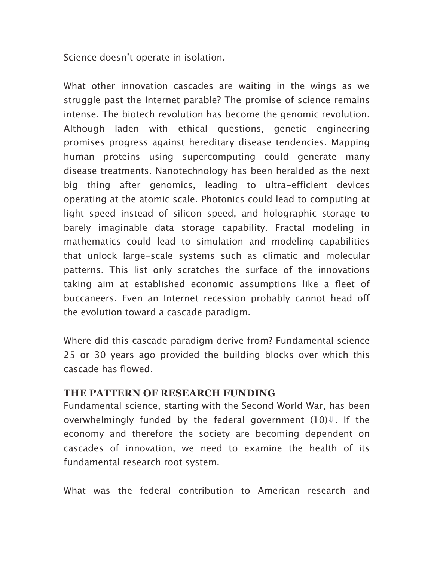Science doesn't operate in isolation.

What other innovation cascades are waiting in the wings as we struggle past the Internet parable? The promise of science remains intense. The biotech revolution has become the genomic revolution. Although laden with ethical questions, genetic engineering promises progress against hereditary disease tendencies. Mapping human proteins using supercomputing could generate many disease treatments. Nanotechnology has been heralded as the next big thing after genomics, leading to ultra-efficient devices operating at the atomic scale. Photonics could lead to computing at light speed instead of silicon speed, and holographic storage to barely imaginable data storage capability. Fractal modeling in mathematics could lead to simulation and modeling capabilities that unlock large-scale systems such as climatic and molecular patterns. This list only scratches the surface of the innovations taking aim at established economic assumptions like a fleet of buccaneers. Even an Internet recession probably cannot head off the evolution toward a cascade paradigm.

Where did this cascade paradigm derive from? Fundamental science 25 or 30 years ago provided the building blocks over which this cascade has flowed.

#### **THE PATTERN OF RESEARCH FUNDING**

Fundamental science, starting with the Second World War, has been overwhelmingly funded by the federal government  $(10)\ell$ . If the economy and therefore the society are becoming dependent on cascades of innovation, we need to examine the health of its fundamental research root system.

What was the federal contribution to American research and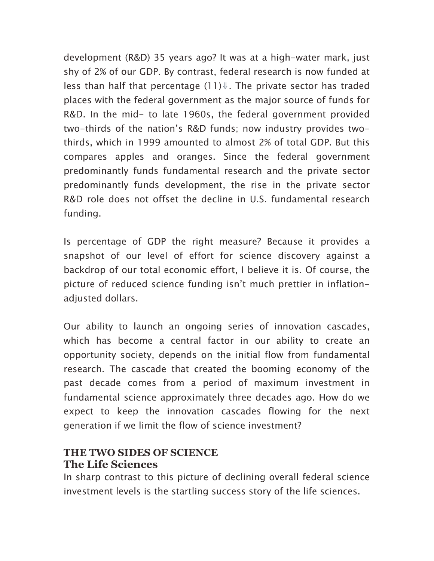development (R&D) 35 years ago? It was at a high-water mark, just shy of 2% of our GDP. By contrast, federal research is now funded at less than half that percentage  $(11)\Downarrow$ . The private sector has traded places with the federal government as the major source of funds for R&D. In the mid- to late 1960s, the federal government provided two-thirds of the nation's R&D funds; now industry provides twothirds, which in 1999 amounted to almost 2% of total GDP. But this compares apples and oranges. Since the federal government predominantly funds fundamental research and the private sector predominantly funds development, the rise in the private sector R&D role does not offset the decline in U.S. fundamental research funding.

Is percentage of GDP the right measure? Because it provides a snapshot of our level of effort for science discovery against a backdrop of our total economic effort, I believe it is. Of course, the picture of reduced science funding isn't much prettier in inflationadjusted dollars.

Our ability to launch an ongoing series of innovation cascades, which has become a central factor in our ability to create an opportunity society, depends on the initial flow from fundamental research. The cascade that created the booming economy of the past decade comes from a period of maximum investment in fundamental science approximately three decades ago. How do we expect to keep the innovation cascades flowing for the next generation if we limit the flow of science investment?

# **THE TWO SIDES OF SCIENCE The Life Sciences**

In sharp contrast to this picture of declining overall federal science investment levels is the startling success story of the life sciences.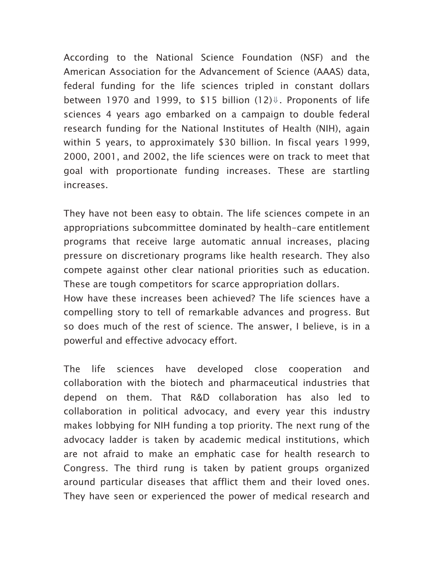According to the National Science Foundation (NSF) and the American Association for the Advancement of Science (AAAS) data, federal funding for the life sciences tripled in constant dollars between 1970 and 1999, to \$15 billion  $(12)$ <sup> $\Downarrow$ </sup>. Proponents of life sciences 4 years ago embarked on a campaign to double federal research funding for the National Institutes of Health (NIH), again within 5 years, to approximately \$30 billion. In fiscal years 1999, 2000, 2001, and 2002, the life sciences were on track to meet that goal with proportionate funding increases. These are startling increases.

They have not been easy to obtain. The life sciences compete in an appropriations subcommittee dominated by health-care entitlement programs that receive large automatic annual increases, placing pressure on discretionary programs like health research. They also compete against other clear national priorities such as education. These are tough competitors for scarce appropriation dollars. How have these increases been achieved? The life sciences have a compelling story to tell of remarkable advances and progress. But so does much of the rest of science. The answer, I believe, is in a powerful and effective advocacy effort.

The life sciences have developed close cooperation and collaboration with the biotech and pharmaceutical industries that depend on them. That R&D collaboration has also led to collaboration in political advocacy, and every year this industry makes lobbying for NIH funding a top priority. The next rung of the advocacy ladder is taken by academic medical institutions, which are not afraid to make an emphatic case for health research to Congress. The third rung is taken by patient groups organized around particular diseases that afflict them and their loved ones. They have seen or experienced the power of medical research and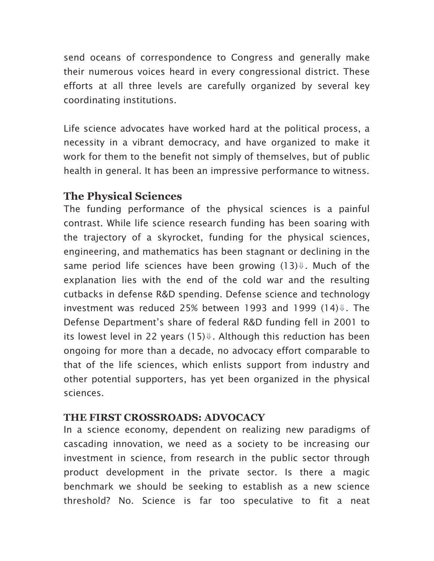send oceans of correspondence to Congress and generally make their numerous voices heard in every congressional district. These efforts at all three levels are carefully organized by several key coordinating institutions.

Life science advocates have worked hard at the political process, a necessity in a vibrant democracy, and have organized to make it work for them to the benefit not simply of themselves, but of public health in general. It has been an impressive performance to witness.

# **The Physical Sciences**

The funding performance of the physical sciences is a painful contrast. While life science research funding has been soaring with the trajectory of a skyrocket, funding for the physical sciences, engineering, and mathematics has been stagnant or declining in the same period life sciences have been growing  $(13)$  $\Downarrow$ . Much of the explanation lies with the end of the cold war and the resulting cutbacks in defense R&D spending. Defense science and technology investment was reduced 25% between 1993 and 1999 (14)⇓. The Defense Department's share of federal R&D funding fell in 2001 to its lowest level in 22 years  $(15)$  $\Downarrow$ . Although this reduction has been ongoing for more than a decade, no advocacy effort comparable to that of the life sciences, which enlists support from industry and other potential supporters, has yet been organized in the physical sciences.

### **THE FIRST CROSSROADS: ADVOCACY**

In a science economy, dependent on realizing new paradigms of cascading innovation, we need as a society to be increasing our investment in science, from research in the public sector through product development in the private sector. Is there a magic benchmark we should be seeking to establish as a new science threshold? No. Science is far too speculative to fit a neat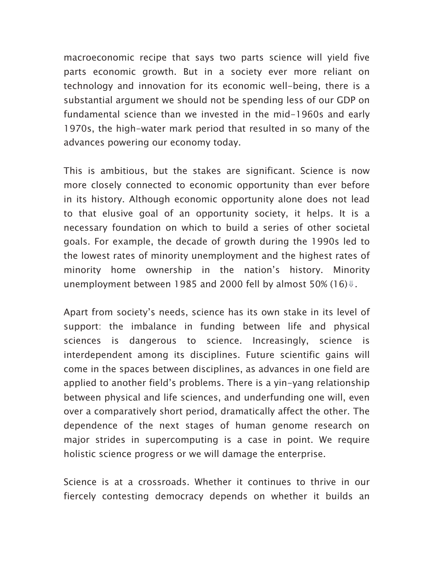macroeconomic recipe that says two parts science will yield five parts economic growth. But in a society ever more reliant on technology and innovation for its economic well-being, there is a substantial argument we should not be spending less of our GDP on fundamental science than we invested in the mid-1960s and early 1970s, the high-water mark period that resulted in so many of the advances powering our economy today.

This is ambitious, but the stakes are significant. Science is now more closely connected to economic opportunity than ever before in its history. Although economic opportunity alone does not lead to that elusive goal of an opportunity society, it helps. It is a necessary foundation on which to build a series of other societal goals. For example, the decade of growth during the 1990s led to the lowest rates of minority unemployment and the highest rates of minority home ownership in the nation's history. Minority unemployment between 1985 and 2000 fell by almost 50% (16) $\Downarrow$ .

Apart from society's needs, science has its own stake in its level of support: the imbalance in funding between life and physical sciences is dangerous to science. Increasingly, science is interdependent among its disciplines. Future scientific gains will come in the spaces between disciplines, as advances in one field are applied to another field's problems. There is a yin-yang relationship between physical and life sciences, and underfunding one will, even over a comparatively short period, dramatically affect the other. The dependence of the next stages of human genome research on major strides in supercomputing is a case in point. We require holistic science progress or we will damage the enterprise.

Science is at a crossroads. Whether it continues to thrive in our fiercely contesting democracy depends on whether it builds an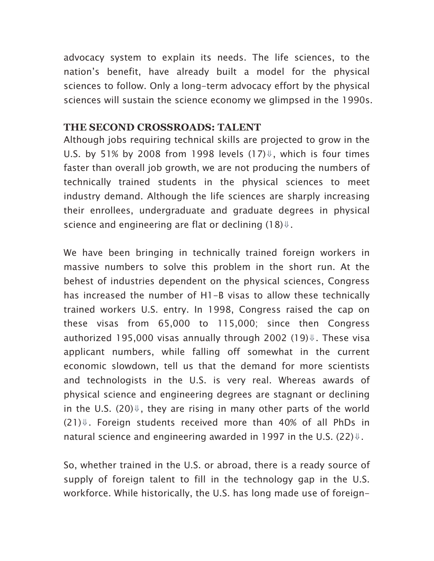advocacy system to explain its needs. The life sciences, to the nation's benefit, have already built a model for the physical sciences to follow. Only a long-term advocacy effort by the physical sciences will sustain the science economy we glimpsed in the 1990s.

#### **THE SECOND CROSSROADS: TALENT**

Although jobs requiring technical skills are projected to grow in the U.S. by 51% by 2008 from 1998 levels  $(17)$ <sup> $\Downarrow$ </sup>, which is four times faster than overall job growth, we are not producing the numbers of technically trained students in the physical sciences to meet industry demand. Although the life sciences are sharply increasing their enrollees, undergraduate and graduate degrees in physical science and engineering are flat or declining  $(18)$  $\Downarrow$ .

We have been bringing in technically trained foreign workers in massive numbers to solve this problem in the short run. At the behest of industries dependent on the physical sciences, Congress has increased the number of H1-B visas to allow these technically trained workers U.S. entry. In 1998, Congress raised the cap on these visas from 65,000 to 115,000; since then Congress authorized 195,000 visas annually through 2002 (19) $\Downarrow$ . These visa applicant numbers, while falling off somewhat in the current economic slowdown, tell us that the demand for more scientists and technologists in the U.S. is very real. Whereas awards of physical science and engineering degrees are stagnant or declining in the U.S. (20) $\Downarrow$ , they are rising in many other parts of the world  $(21)$ **U**. Foreign students received more than 40% of all PhDs in natural science and engineering awarded in 1997 in the U.S. (22) $\Downarrow$ .

So, whether trained in the U.S. or abroad, there is a ready source of supply of foreign talent to fill in the technology gap in the U.S. workforce. While historically, the U.S. has long made use of foreign-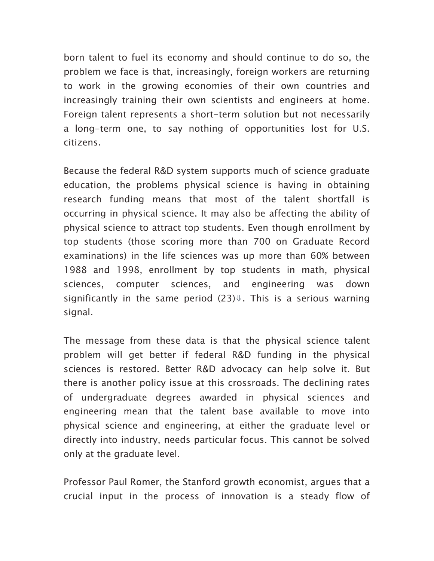born talent to fuel its economy and should continue to do so, the problem we face is that, increasingly, foreign workers are returning to work in the growing economies of their own countries and increasingly training their own scientists and engineers at home. Foreign talent represents a short-term solution but not necessarily a long-term one, to say nothing of opportunities lost for U.S. citizens.

Because the federal R&D system supports much of science graduate education, the problems physical science is having in obtaining research funding means that most of the talent shortfall is occurring in physical science. It may also be affecting the ability of physical science to attract top students. Even though enrollment by top students (those scoring more than 700 on Graduate Record examinations) in the life sciences was up more than 60% between 1988 and 1998, enrollment by top students in math, physical sciences, computer sciences, and engineering was down significantly in the same period  $(23)$ <sup> $\Downarrow$ </sup>. This is a serious warning signal.

The message from these data is that the physical science talent problem will get better if federal R&D funding in the physical sciences is restored. Better R&D advocacy can help solve it. But there is another policy issue at this crossroads. The declining rates of undergraduate degrees awarded in physical sciences and engineering mean that the talent base available to move into physical science and engineering, at either the graduate level or directly into industry, needs particular focus. This cannot be solved only at the graduate level.

Professor Paul Romer, the Stanford growth economist, argues that a crucial input in the process of innovation is a steady flow of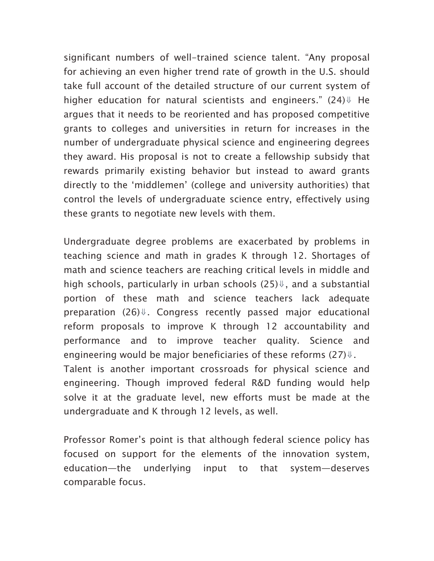significant numbers of well-trained science talent. "Any proposal for achieving an even higher trend rate of growth in the U.S. should take full account of the detailed structure of our current system of higher education for natural scientists and engineers."  $(24)$  He argues that it needs to be reoriented and has proposed competitive grants to colleges and universities in return for increases in the number of undergraduate physical science and engineering degrees they award. His proposal is not to create a fellowship subsidy that rewards primarily existing behavior but instead to award grants directly to the 'middlemen' (college and university authorities) that control the levels of undergraduate science entry, effectively using these grants to negotiate new levels with them.

Undergraduate degree problems are exacerbated by problems in teaching science and math in grades K through 12. Shortages of math and science teachers are reaching critical levels in middle and high schools, particularly in urban schools  $(25)$  $\Downarrow$ , and a substantial portion of these math and science teachers lack adequate preparation (26)↓. Congress recently passed major educational reform proposals to improve K through 12 accountability and performance and to improve teacher quality. Science and engineering would be major beneficiaries of these reforms  $(27)$  $\Downarrow$ . Talent is another important crossroads for physical science and engineering. Though improved federal R&D funding would help solve it at the graduate level, new efforts must be made at the undergraduate and K through 12 levels, as well.

Professor Romer's point is that although federal science policy has focused on support for the elements of the innovation system, education—the underlying input to that system—deserves comparable focus.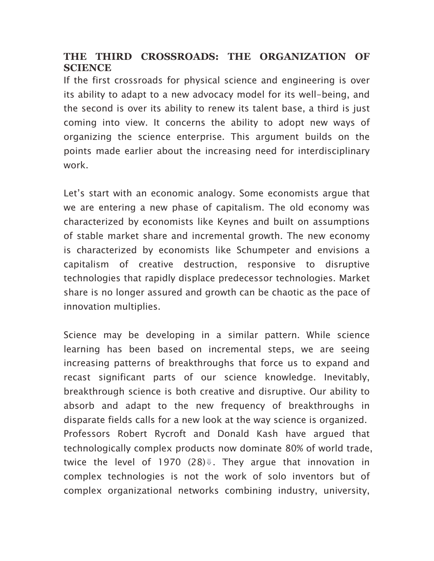## **THE THIRD CROSSROADS: THE ORGANIZATION OF SCIENCE**

If the first crossroads for physical science and engineering is over its ability to adapt to a new advocacy model for its well-being, and the second is over its ability to renew its talent base, a third is just coming into view. It concerns the ability to adopt new ways of organizing the science enterprise. This argument builds on the points made earlier about the increasing need for interdisciplinary work.

Let's start with an economic analogy. Some economists argue that we are entering a new phase of capitalism. The old economy was characterized by economists like Keynes and built on assumptions of stable market share and incremental growth. The new economy is characterized by economists like Schumpeter and envisions a capitalism of creative destruction, responsive to disruptive technologies that rapidly displace predecessor technologies. Market share is no longer assured and growth can be chaotic as the pace of innovation multiplies.

Science may be developing in a similar pattern. While science learning has been based on incremental steps, we are seeing increasing patterns of breakthroughs that force us to expand and recast significant parts of our science knowledge. Inevitably, breakthrough science is both creative and disruptive. Our ability to absorb and adapt to the new frequency of breakthroughs in disparate fields calls for a new look at the way science is organized. Professors Robert Rycroft and Donald Kash have argued that technologically complex products now dominate 80% of world trade, twice the level of 1970  $(28)$  U. They argue that innovation in complex technologies is not the work of solo inventors but of complex organizational networks combining industry, university,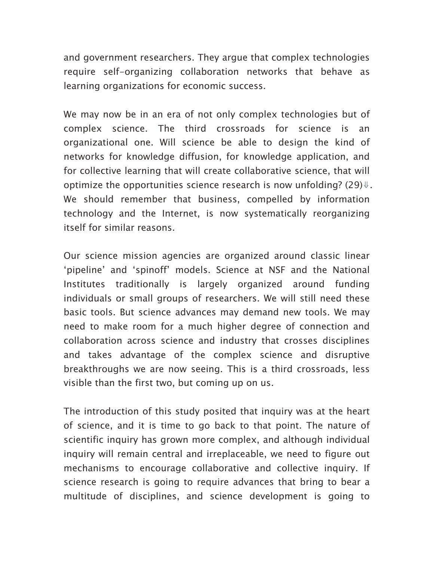and government researchers. They argue that complex technologies require self-organizing collaboration networks that behave as learning organizations for economic success.

We may now be in an era of not only complex technologies but of complex science. The third crossroads for science is an organizational one. Will science be able to design the kind of networks for knowledge diffusion, for knowledge application, and for collective learning that will create collaborative science, that will optimize the opportunities science research is now unfolding?  $(29)$  $\Downarrow$ . We should remember that business, compelled by information technology and the Internet, is now systematically reorganizing itself for similar reasons.

Our science mission agencies are organized around classic linear 'pipeline' and 'spinoff' models. Science at NSF and the National Institutes traditionally is largely organized around funding individuals or small groups of researchers. We will still need these basic tools. But science advances may demand new tools. We may need to make room for a much higher degree of connection and collaboration across science and industry that crosses disciplines and takes advantage of the complex science and disruptive breakthroughs we are now seeing. This is a third crossroads, less visible than the first two, but coming up on us.

The introduction of this study posited that inquiry was at the heart of science, and it is time to go back to that point. The nature of scientific inquiry has grown more complex, and although individual inquiry will remain central and irreplaceable, we need to figure out mechanisms to encourage collaborative and collective inquiry. If science research is going to require advances that bring to bear a multitude of disciplines, and science development is going to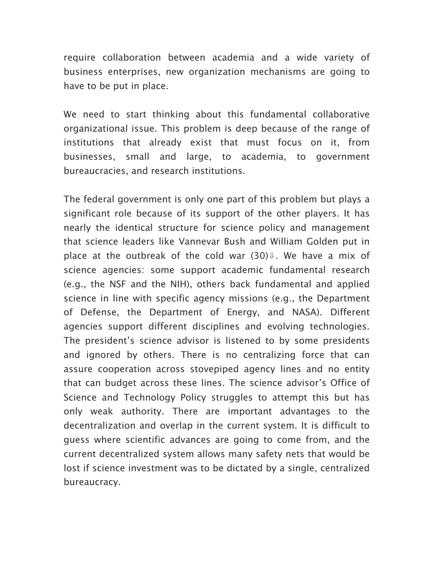require collaboration between academia and a wide variety of business enterprises, new organization mechanisms are going to have to be put in place.

We need to start thinking about this fundamental collaborative organizational issue. This problem is deep because of the range of institutions that already exist that must focus on it, from businesses, small and large, to academia, to government bureaucracies, and research institutions.

The federal government is only one part of this problem but plays a significant role because of its support of the other players. It has nearly the identical structure for science policy and management that science leaders like Vannevar Bush and William Golden put in place at the outbreak of the cold war  $(30)$  $\Downarrow$ . We have a mix of science agencies: some support academic fundamental research (e.g., the NSF and the NIH), others back fundamental and applied science in line with specific agency missions (e.g., the Department of Defense, the Department of Energy, and NASA). Different agencies support different disciplines and evolving technologies. The president's science advisor is listened to by some presidents and ignored by others. There is no centralizing force that can assure cooperation across stovepiped agency lines and no entity that can budget across these lines. The science advisor's Office of Science and Technology Policy struggles to attempt this but has only weak authority. There are important advantages to the decentralization and overlap in the current system. It is difficult to guess where scientific advances are going to come from, and the current decentralized system allows many safety nets that would be lost if science investment was to be dictated by a single, centralized bureaucracy.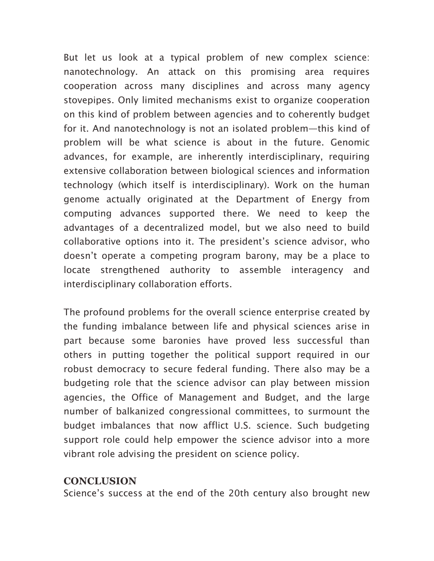But let us look at a typical problem of new complex science: nanotechnology. An attack on this promising area requires cooperation across many disciplines and across many agency stovepipes. Only limited mechanisms exist to organize cooperation on this kind of problem between agencies and to coherently budget for it. And nanotechnology is not an isolated problem—this kind of problem will be what science is about in the future. Genomic advances, for example, are inherently interdisciplinary, requiring extensive collaboration between biological sciences and information technology (which itself is interdisciplinary). Work on the human genome actually originated at the Department of Energy from computing advances supported there. We need to keep the advantages of a decentralized model, but we also need to build collaborative options into it. The president's science advisor, who doesn't operate a competing program barony, may be a place to locate strengthened authority to assemble interagency and interdisciplinary collaboration efforts.

The profound problems for the overall science enterprise created by the funding imbalance between life and physical sciences arise in part because some baronies have proved less successful than others in putting together the political support required in our robust democracy to secure federal funding. There also may be a budgeting role that the science advisor can play between mission agencies, the Office of Management and Budget, and the large number of balkanized congressional committees, to surmount the budget imbalances that now afflict U.S. science. Such budgeting support role could help empower the science advisor into a more vibrant role advising the president on science policy.

#### **CONCLUSION**

Science's success at the end of the 20th century also brought new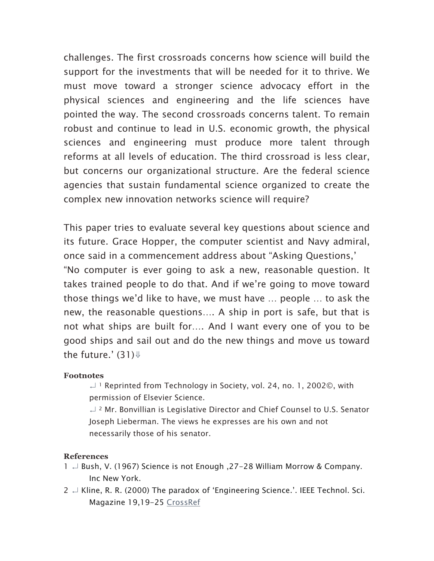challenges. The first crossroads concerns how science will build the support for the investments that will be needed for it to thrive. We must move toward a stronger science advocacy effort in the physical sciences and engineering and the life sciences have pointed the way. The second crossroads concerns talent. To remain robust and continue to lead in U.S. economic growth, the physical sciences and engineering must produce more talent through reforms at all levels of education. The third crossroad is less clear, but concerns our organizational structure. Are the federal science agencies that sustain fundamental science organized to create the complex new innovation networks science will require?

This paper tries to evaluate several key questions about science and its future. Grace Hopper, the computer scientist and Navy admiral, once said in a commencement address about "Asking Questions,' "No computer is ever going to ask a new, reasonable question. It takes trained people to do that. And if we're going to move toward those things we'd like to have, we must have … people … to ask the new, the reasonable questions…. A ship in port is safe, but that is not what ships are built for…. And I want every one of you to be good ships and sail out and do the new things and move us toward the future.'  $(31)\Downarrow$ 

#### **Footnotes**

↵ <sup>1</sup> Reprinted from Technology in Society, vol. 24, no. 1, 2002©, with permission of Elsevier Science.

↵ <sup>2</sup> Mr. Bonvillian is Legislative Director and Chief Counsel to U.S. Senator Joseph Lieberman. The views he expresses are his own and not necessarily those of his senator.

#### **References**

- 1 ↵ Bush, V. (1967) Science is not Enough ,27-28 William Morrow & Company. Inc New York.
- $2 \nightharpoonup$  Kline, R. R. (2000) The paradox of 'Engineering Science.'. IEEE Technol. Sci. Magazine 19,19-25 CrossRef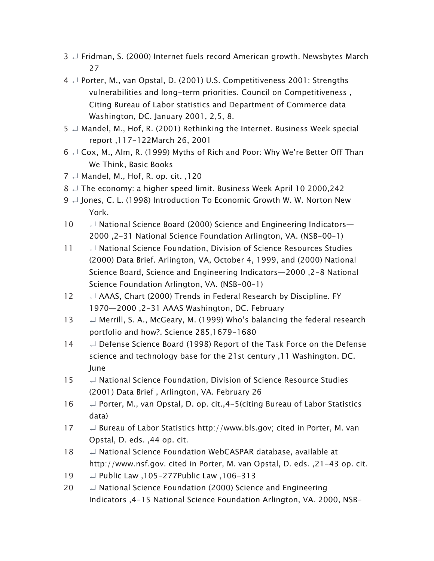- 3  $\Box$  Fridman, S. (2000) Internet fuels record American growth. Newsbytes March 27
- 4 ↵ Porter, M., van Opstal, D. (2001) U.S. Competitiveness 2001: Strengths vulnerabilities and long-term priorities. Council on Competitiveness , Citing Bureau of Labor statistics and Department of Commerce data Washington, DC. January 2001, 2,5, 8.
- $5 \nightharpoonup$  Mandel, M., Hof, R. (2001) Rethinking the Internet. Business Week special report ,117-122March 26, 2001
- $6 \perp \mathsf{Cox}$ , M., Alm, R. (1999) Myths of Rich and Poor: Why We're Better Off Than We Think, Basic Books
- $7 \perp$  Mandel, M., Hof, R. op. cit., 120
- 8 ↵ The economy: a higher speed limit. Business Week April 10 2000,242
- 9  $\Box$  Jones, C. L. (1998) Introduction To Economic Growth W. W. Norton New York.
- 10  $\Box$  National Science Board (2000) Science and Engineering Indicators— 2000 ,2-31 National Science Foundation Arlington, VA. (NSB-00–1)
- 11 ↵ National Science Foundation, Division of Science Resources Studies (2000) Data Brief. Arlington, VA, October 4, 1999, and (2000) National Science Board, Science and Engineering Indicators—2000 ,2-8 National Science Foundation Arlington, VA. (NSB-00–1)
- 12 
↓ AAAS, Chart (2000) Trends in Federal Research by Discipline. FY 1970—2000 ,2-31 AAAS Washington, DC. February
- 13  $\Box$  Merrill, S. A., McGeary, M. (1999) Who's balancing the federal research portfolio and how?. Science 285,1679-1680
- 14 
→ Defense Science Board (1998) Report of the Task Force on the Defense science and technology base for the 21st century ,11 Washington. DC. June
- 15 ↵ National Science Foundation, Division of Science Resource Studies (2001) Data Brief , Arlington, VA. February 26
- 16 ↵ Porter, M., van Opstal, D. op. cit.,4-5(citing Bureau of Labor Statistics data)
- 17 
→ Bureau of Labor Statistics http://www.bls.gov; cited in Porter, M. van Opstal, D. eds. ,44 op. cit.
- 18 → National Science Foundation WebCASPAR database, available at http://www.nsf.gov. cited in Porter, M. van Opstal, D. eds. ,21-43 op. cit.
- 19 ↵ Public Law ,105-277Public Law ,106-313
- 20  $\Box$  National Science Foundation (2000) Science and Engineering Indicators ,4-15 National Science Foundation Arlington, VA. 2000, NSB-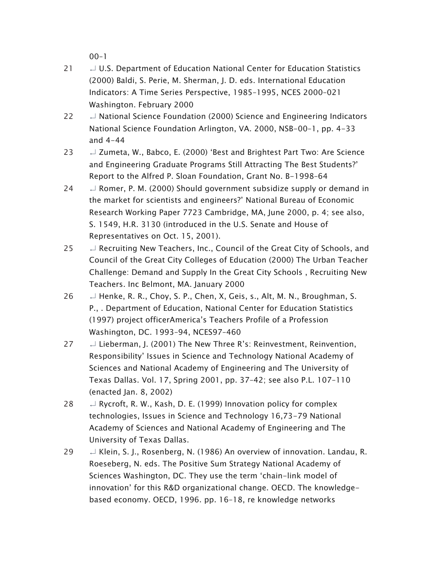$00-1$ 

- 21  $\Box$  U.S. Department of Education National Center for Education Statistics (2000) Baldi, S. Perie, M. Sherman, J. D. eds. International Education Indicators: A Time Series Perspective, 1985–1995, NCES 2000–021 Washington. February 2000
- 22  $\Box$  National Science Foundation (2000) Science and Engineering Indicators National Science Foundation Arlington, VA. 2000, NSB-00–1, pp. 4-33 and 4-44
- 23  $\downarrow$  Zumeta, W., Babco, E. (2000) 'Best and Brightest Part Two: Are Science and Engineering Graduate Programs Still Attracting The Best Students?' Report to the Alfred P. Sloan Foundation, Grant No. B-1998–64
- 24  $\downarrow$  Romer, P. M. (2000) Should government subsidize supply or demand in the market for scientists and engineers?' National Bureau of Economic Research Working Paper 7723 Cambridge, MA, June 2000, p. 4; see also, S. 1549, H.R. 3130 (introduced in the U.S. Senate and House of Representatives on Oct. 15, 2001).
- $25$   $\downarrow$  Recruiting New Teachers, Inc., Council of the Great City of Schools, and Council of the Great City Colleges of Education (2000) The Urban Teacher Challenge: Demand and Supply In the Great City Schools , Recruiting New Teachers. Inc Belmont, MA. January 2000
- 26  $\downarrow$  Henke, R. R., Choy, S. P., Chen, X, Geis, s., Alt, M. N., Broughman, S. P., . Department of Education, National Center for Education Statistics (1997) project officerAmerica's Teachers Profile of a Profession Washington, DC. 1993–94, NCES97–460
- 27  $\downarrow$  Lieberman, J. (2001) The New Three R's: Reinvestment, Reinvention, Responsibility' Issues in Science and Technology National Academy of Sciences and National Academy of Engineering and The University of Texas Dallas. Vol. 17, Spring 2001, pp. 37–42; see also P.L. 107–110 (enacted Jan. 8, 2002)
- 28  $\downarrow$  Rycroft, R. W., Kash, D. E. (1999) Innovation policy for complex technologies, Issues in Science and Technology 16,73-79 National Academy of Sciences and National Academy of Engineering and The University of Texas Dallas.
- 29  $\downarrow$  Klein, S. J., Rosenberg, N. (1986) An overview of innovation. Landau, R. Roeseberg, N. eds. The Positive Sum Strategy National Academy of Sciences Washington, DC. They use the term 'chain-link model of innovation' for this R&D organizational change. OECD. The knowledgebased economy. OECD, 1996. pp. 16–18, re knowledge networks